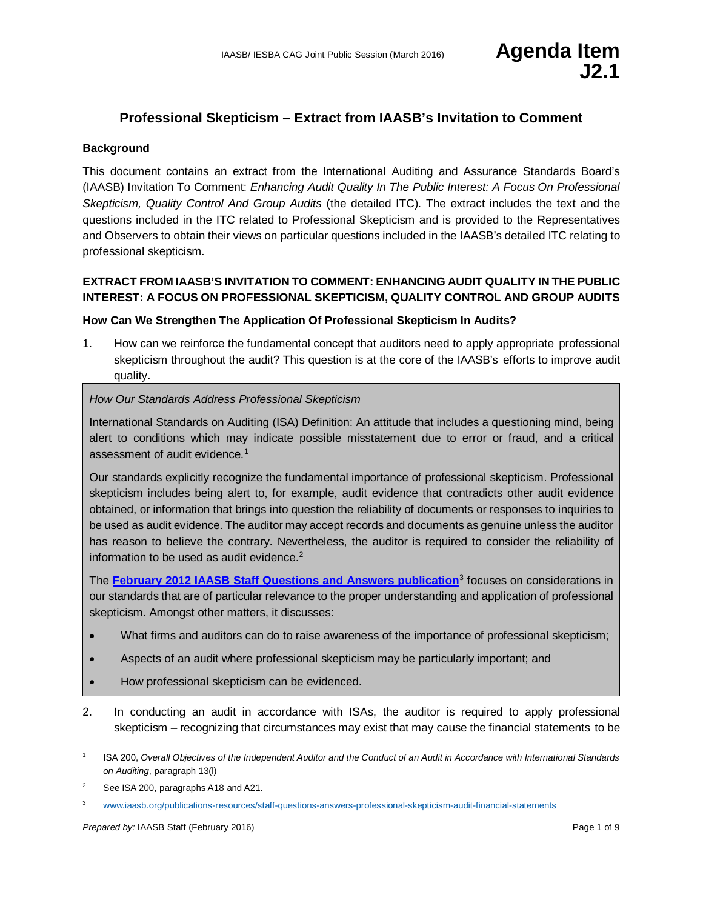## **Professional Skepticism – Extract from IAASB's Invitation to Comment**

#### **Background**

This document contains an extract from the International Auditing and Assurance Standards Board's (IAASB) Invitation To Comment: *Enhancing Audit Quality In The Public Interest: A Focus On Professional Skepticism, Quality Control And Group Audits* (the detailed ITC). The extract includes the text and the questions included in the ITC related to Professional Skepticism and is provided to the Representatives and Observers to obtain their views on particular questions included in the IAASB's detailed ITC relating to professional skepticism.

### **EXTRACT FROM IAASB'S INVITATION TO COMMENT: ENHANCING AUDIT QUALITY IN THE PUBLIC INTEREST: A FOCUS ON PROFESSIONAL SKEPTICISM, QUALITY CONTROL AND GROUP AUDITS**

#### **How Can We Strengthen The Application Of Professional Skepticism In Audits?**

1. How can we reinforce the fundamental concept that auditors need to apply appropriate professional skepticism throughout the audit? This question is at the core of the IAASB's efforts to improve audit quality.

#### *How Our Standards Address Professional Skepticism*

International Standards on Auditing (ISA) Definition: An attitude that includes a questioning mind, being alert to conditions which may indicate possible misstatement due to error or fraud, and a critical assessment of audit evidence.<sup>[1](#page-0-0)</sup>

Our standards explicitly recognize the fundamental importance of professional skepticism. Professional skepticism includes being alert to, for example, audit evidence that contradicts other audit evidence obtained, or information that brings into question the reliability of documents or responses to inquiries to be used as audit evidence. The auditor may accept records and documents as genuine unless the auditor has reason to believe the contrary. Nevertheless, the auditor is required to consider the reliability of information to be used as audit evidence. $2$ 

The **[February 2012 IAASB Staff Questions and Answers publication](http://www.ifac.org/publications-resources/staff-questions-answers-professional-skepticism-audit-financial-statements)**[3](#page-0-2) focuses on considerations in our standards that are of particular relevance to the proper understanding and application of professional skepticism. Amongst other matters, it discusses:

- What firms and auditors can do to raise awareness of the importance of professional skepticism;
- Aspects of an audit where professional skepticism may be particularly important; and
- How professional skepticism can be evidenced.
- 2. In conducting an audit in accordance with ISAs, the auditor is required to apply professional skepticism – recognizing that circumstances may exist that may cause the financial statements to be

<span id="page-0-0"></span> <sup>1</sup> ISA 200, *Overall Objectives of the Independent Auditor and the Conduct of an Audit in Accordance with International Standards on Auditing*, paragraph 13(l)

<span id="page-0-1"></span><sup>&</sup>lt;sup>2</sup> See ISA 200, paragraphs A18 and A21.

<span id="page-0-2"></span><sup>3</sup> [www.iaasb.org/publications-resources/staff-questions-answers-professional-skepticism-audit-financial-statements](http://www.iaasb.org/publications-resources/staff-questions-answers-professional-skepticism-audit-financial-statements)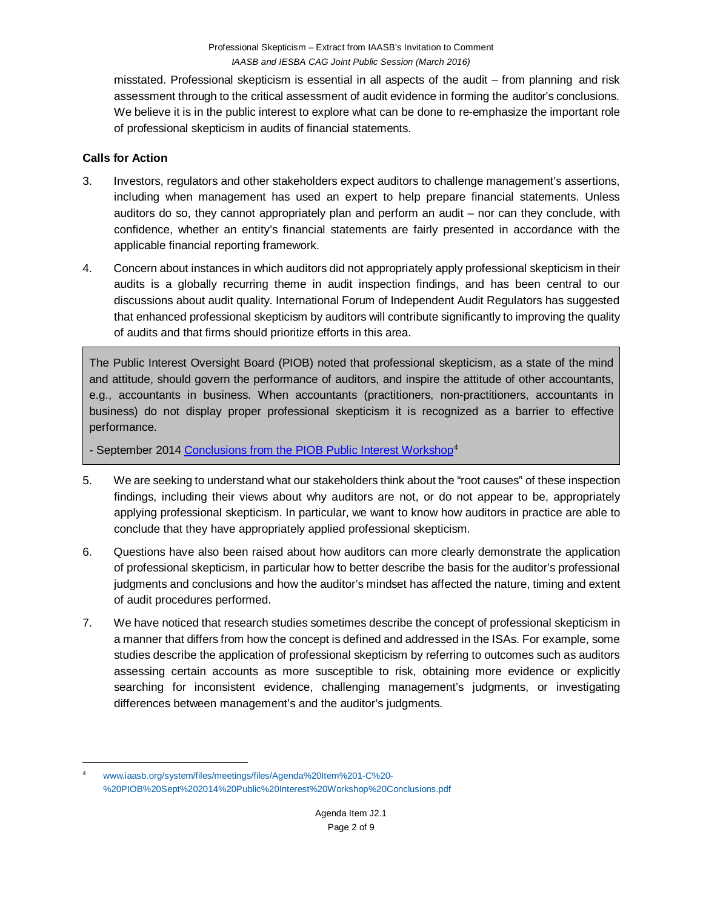misstated. Professional skepticism is essential in all aspects of the audit – from planning and risk assessment through to the critical assessment of audit evidence in forming the auditor's conclusions. We believe it is in the public interest to explore what can be done to re-emphasize the important role of professional skepticism in audits of financial statements.

### **Calls for Action**

- 3. Investors, regulators and other stakeholders expect auditors to challenge management's assertions, including when management has used an expert to help prepare financial statements. Unless auditors do so, they cannot appropriately plan and perform an audit – nor can they conclude, with confidence, whether an entity's financial statements are fairly presented in accordance with the applicable financial reporting framework.
- 4. Concern about instances in which auditors did not appropriately apply professional skepticism in their audits is a globally recurring theme in audit inspection findings, and has been central to our discussions about audit quality. International Forum of Independent Audit Regulators has suggested that enhanced professional skepticism by auditors will contribute significantly to improving the quality of audits and that firms should prioritize efforts in this area.

The Public Interest Oversight Board (PIOB) noted that professional skepticism, as a state of the mind and attitude, should govern the performance of auditors, and inspire the attitude of other accountants, e.g., accountants in business. When accountants (practitioners, non-practitioners, accountants in business) do not display proper professional skepticism it is recognized as a barrier to effective performance.

- September 201[4 Conclusions from the PIOB Public Interest Workshop](http://www.iaasb.org/system/files/meetings/files/Agenda%20Item%201-C%20-%20PIOB%20Sept%202014%20Public%20Interest%20Workshop%20Conclusions.pdf)<sup>[4](#page-1-0)</sup>

- 5. We are seeking to understand what our stakeholders think about the "root causes" of these inspection findings, including their views about why auditors are not, or do not appear to be, appropriately applying professional skepticism. In particular, we want to know how auditors in practice are able to conclude that they have appropriately applied professional skepticism.
- 6. Questions have also been raised about how auditors can more clearly demonstrate the application of professional skepticism, in particular how to better describe the basis for the auditor's professional judgments and conclusions and how the auditor's mindset has affected the nature, timing and extent of audit procedures performed.
- 7. We have noticed that research studies sometimes describe the concept of professional skepticism in a manner that differs from how the concept is defined and addressed in the ISAs. For example, some studies describe the application of professional skepticism by referring to outcomes such as auditors assessing certain accounts as more susceptible to risk, obtaining more evidence or explicitly searching for inconsistent evidence, challenging management's judgments, or investigating differences between management's and the auditor's judgments.

<span id="page-1-0"></span> <sup>4</sup> [www.iaasb.org/system/files/meetings/files/Agenda%20Item%201-C%20-](http://www.iaasb.org/system/files/meetings/files/Agenda%20Item%201-C%20-%20PIOB%20Sept%202014%20Public%20Interest%20Workshop%20Conclusions.pdf) [%20PIOB%20Sept%202014%20Public%20Interest%20Workshop%20Conclusions.pdf](http://www.iaasb.org/system/files/meetings/files/Agenda%20Item%201-C%20-%20PIOB%20Sept%202014%20Public%20Interest%20Workshop%20Conclusions.pdf)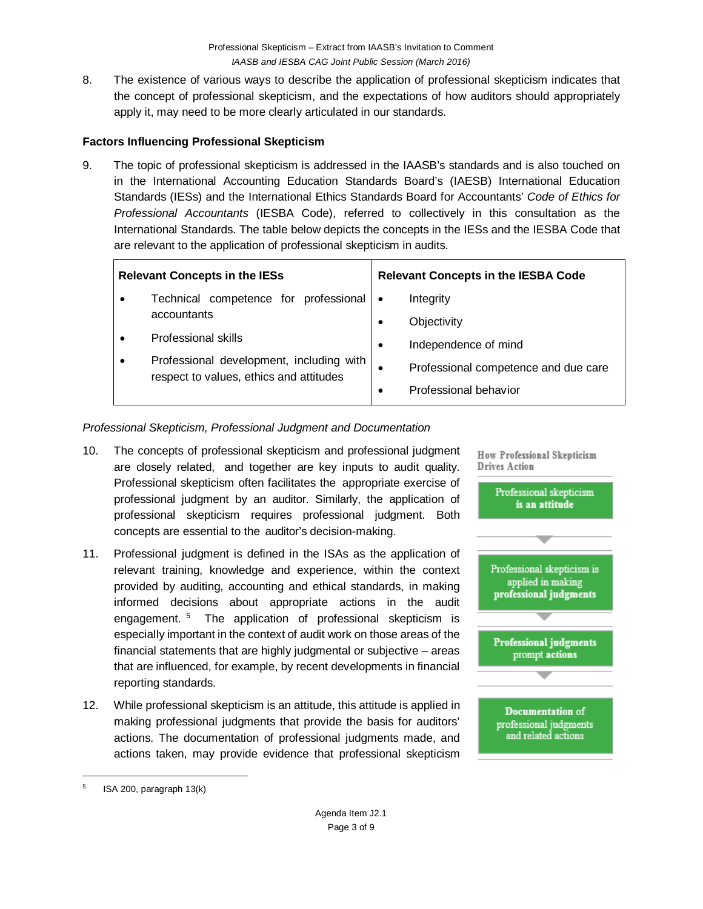8. The existence of various ways to describe the application of professional skepticism indicates that the concept of professional skepticism, and the expectations of how auditors should appropriately apply it, may need to be more clearly articulated in our standards.

### **Factors Influencing Professional Skepticism**

9. The topic of professional skepticism is addressed in the IAASB's standards and is also touched on in the International Accounting Education Standards Board's (IAESB) International Education Standards (IESs) and the International Ethics Standards Board for Accountants' *Code of Ethics for Professional Accountants* (IESBA Code), referred to collectively in this consultation as the International Standards. The table below depicts the concepts in the IESs and the IESBA Code that are relevant to the application of professional skepticism in audits.

| <b>Relevant Concepts in the IESs</b> |                                                                                     | <b>Relevant Concepts in the IESBA Code</b> |
|--------------------------------------|-------------------------------------------------------------------------------------|--------------------------------------------|
| $\bullet$                            | Technical competence for professional                                               | Integrity<br>$\bullet$                     |
|                                      | accountants                                                                         | Objectivity<br>$\bullet$                   |
|                                      | Professional skills                                                                 | Independence of mind<br>$\bullet$          |
|                                      | Professional development, including with<br>respect to values, ethics and attitudes | Professional competence and due care       |
|                                      |                                                                                     | Professional behavior<br>٠                 |

### *Professional Skepticism, Professional Judgment and Documentation*

- 10. The concepts of professional skepticism and professional judgment are closely related, and together are key inputs to audit quality. Professional skepticism often facilitates the appropriate exercise of professional judgment by an auditor. Similarly, the application of professional skepticism requires professional judgment. Both concepts are essential to the auditor's decision-making.
- 11. Professional judgment is defined in the ISAs as the application of relevant training, knowledge and experience, within the context provided by auditing, accounting and ethical standards, in making informed decisions about appropriate actions in the audit engagement. [5](#page-2-0) The application of professional skepticism is especially important in the context of audit work on those areas of the financial statements that are highly judgmental or subjective – areas that are influenced, for example, by recent developments in financial reporting standards.
- 12. While professional skepticism is an attitude, this attitude is applied in making professional judgments that provide the basis for auditors' actions. The documentation of professional judgments made, and actions taken, may provide evidence that professional skepticism



<span id="page-2-0"></span> $5$  ISA 200, paragraph 13(k)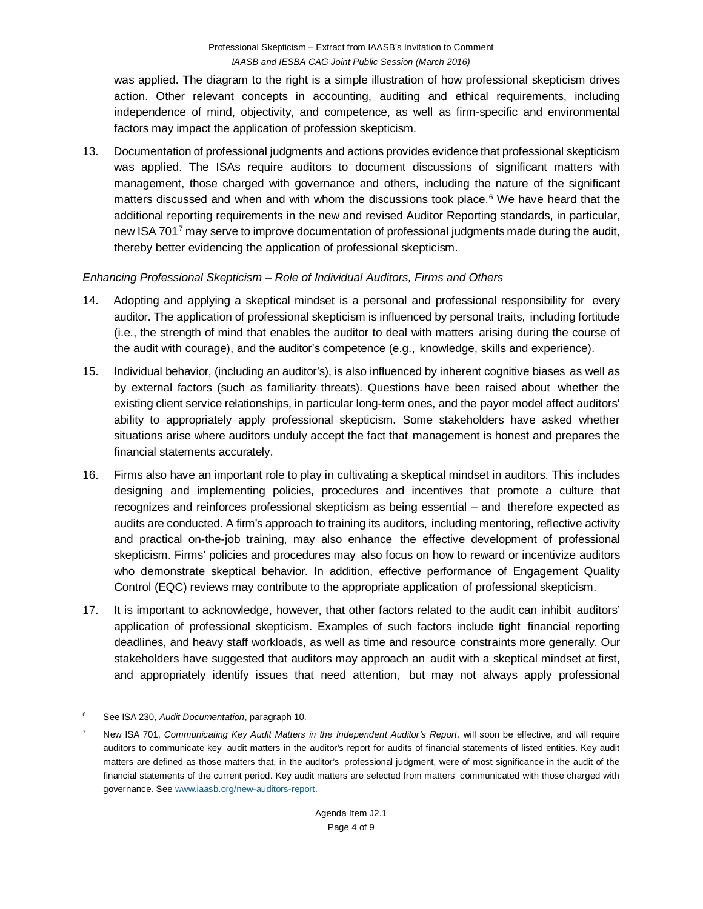was applied. The diagram to the right is a simple illustration of how professional skepticism drives action. Other relevant concepts in accounting, auditing and ethical requirements, including independence of mind, objectivity, and competence, as well as firm-specific and environmental factors may impact the application of profession skepticism.

13. Documentation of professional judgments and actions provides evidence that professional skepticism was applied. The ISAs require auditors to document discussions of significant matters with management, those charged with governance and others, including the nature of the significant matters discussed and when and with whom the discussions took place. $6$  We have heard that the additional reporting requirements in the new and revised Auditor Reporting standards, in particular, new ISA [7](#page-3-1)01<sup>7</sup> may serve to improve documentation of professional judgments made during the audit, thereby better evidencing the application of professional skepticism.

## *Enhancing Professional Skepticism – Role of Individual Auditors, Firms and Others*

- 14. Adopting and applying a skeptical mindset is a personal and professional responsibility for every auditor. The application of professional skepticism is influenced by personal traits, including fortitude (i.e., the strength of mind that enables the auditor to deal with matters arising during the course of the audit with courage), and the auditor's competence (e.g., knowledge, skills and experience).
- 15. Individual behavior, (including an auditor's), is also influenced by inherent cognitive biases as well as by external factors (such as familiarity threats). Questions have been raised about whether the existing client service relationships, in particular long-term ones, and the payor model affect auditors' ability to appropriately apply professional skepticism. Some stakeholders have asked whether situations arise where auditors unduly accept the fact that management is honest and prepares the financial statements accurately.
- 16. Firms also have an important role to play in cultivating a skeptical mindset in auditors. This includes designing and implementing policies, procedures and incentives that promote a culture that recognizes and reinforces professional skepticism as being essential – and therefore expected as audits are conducted. A firm's approach to training its auditors, including mentoring, reflective activity and practical on-the-job training, may also enhance the effective development of professional skepticism. Firms' policies and procedures may also focus on how to reward or incentivize auditors who demonstrate skeptical behavior. In addition, effective performance of Engagement Quality Control (EQC) reviews may contribute to the appropriate application of professional skepticism.
- 17. It is important to acknowledge, however, that other factors related to the audit can inhibit auditors' application of professional skepticism. Examples of such factors include tight financial reporting deadlines, and heavy staff workloads, as well as time and resource constraints more generally. Our stakeholders have suggested that auditors may approach an audit with a skeptical mindset at first, and appropriately identify issues that need attention, but may not always apply professional

<span id="page-3-0"></span> <sup>6</sup> See ISA 230, *Audit Documentation*, paragraph 10.

<span id="page-3-1"></span><sup>7</sup> New ISA 701, *Communicating Key Audit Matters in the Independent Auditor's Report,* will soon be effective, and will require auditors to communicate key audit matters in the auditor's report for audits of financial statements of listed entities. Key audit matters are defined as those matters that, in the auditor's professional judgment, were of most significance in the audit of the financial statements of the current period. Key audit matters are selected from matters communicated with those charged with governance. Se[e www.iaasb.org/new-auditors-report.](http://www.iaasb.org/new-auditors-report)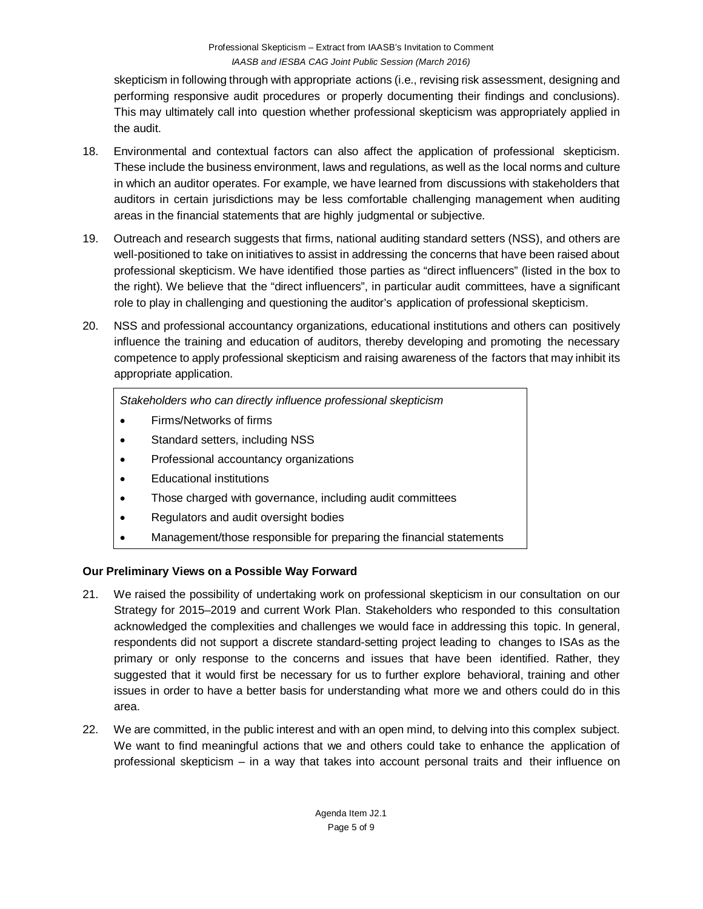skepticism in following through with appropriate actions (i.e., revising risk assessment, designing and performing responsive audit procedures or properly documenting their findings and conclusions). This may ultimately call into question whether professional skepticism was appropriately applied in the audit.

- 18. Environmental and contextual factors can also affect the application of professional skepticism. These include the business environment, laws and regulations, as well as the local norms and culture in which an auditor operates. For example, we have learned from discussions with stakeholders that auditors in certain jurisdictions may be less comfortable challenging management when auditing areas in the financial statements that are highly judgmental or subjective.
- 19. Outreach and research suggests that firms, national auditing standard setters (NSS), and others are well-positioned to take on initiatives to assist in addressing the concerns that have been raised about professional skepticism. We have identified those parties as "direct influencers" (listed in the box to the right). We believe that the "direct influencers", in particular audit committees, have a significant role to play in challenging and questioning the auditor's application of professional skepticism.
- 20. NSS and professional accountancy organizations, educational institutions and others can positively influence the training and education of auditors, thereby developing and promoting the necessary competence to apply professional skepticism and raising awareness of the factors that may inhibit its appropriate application.

*Stakeholders who can directly influence professional skepticism*

- Firms/Networks of firms
- Standard setters, including NSS
- Professional accountancy organizations
- Educational institutions
- Those charged with governance, including audit committees
- Regulators and audit oversight bodies
- Management/those responsible for preparing the financial statements

# **Our Preliminary Views on a Possible Way Forward**

- 21. We raised the possibility of undertaking work on professional skepticism in our consultation on our Strategy for 2015–2019 and current Work Plan. Stakeholders who responded to this consultation acknowledged the complexities and challenges we would face in addressing this topic. In general, respondents did not support a discrete standard-setting project leading to changes to ISAs as the primary or only response to the concerns and issues that have been identified. Rather, they suggested that it would first be necessary for us to further explore behavioral, training and other issues in order to have a better basis for understanding what more we and others could do in this area.
- 22. We are committed, in the public interest and with an open mind, to delving into this complex subject. We want to find meaningful actions that we and others could take to enhance the application of professional skepticism – in a way that takes into account personal traits and their influence on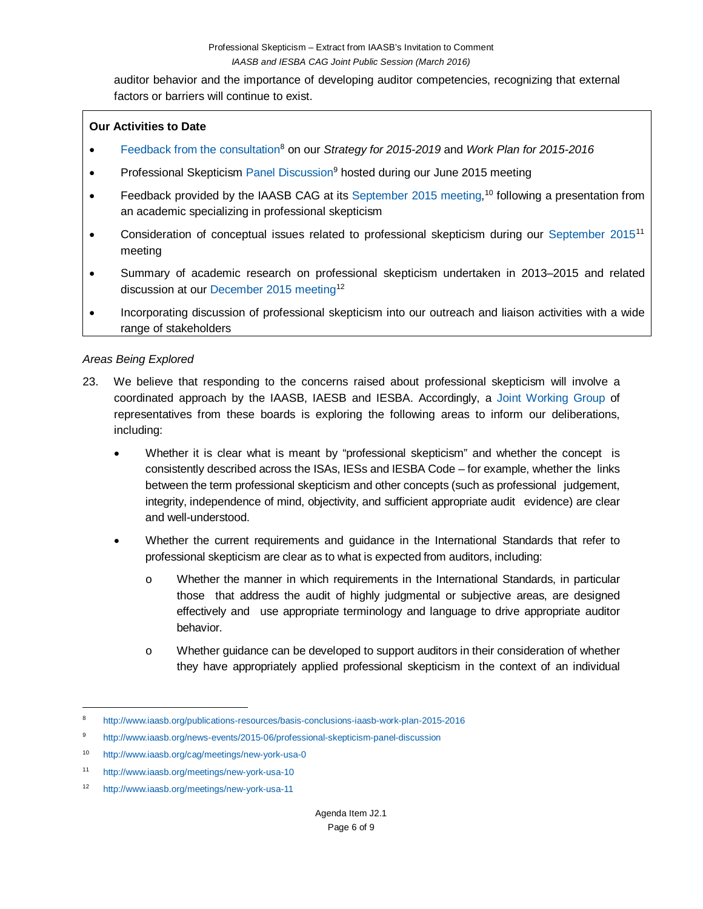auditor behavior and the importance of developing auditor competencies, recognizing that external factors or barriers will continue to exist.

### **Our Activities to Date**

- [Feedback from](http://www.iaasb.org/publications-resources/basis-conclusions-iaasb-work-plan-2015-2016) the consultation<sup>8</sup> on our *Strategy for 2015-2019* and *Work Plan for 2015-2016*
- Professional Skepticism [Panel Discussion](http://www.iaasb.org/news-events/2015-06/professional-skepticism-panel-discussion)<sup>[9](#page-5-1)</sup> hosted during our June 2015 meeting
- Feedback provided by the IAASB CAG at its [September 2015 meeting,](http://www.iaasb.org/cag/meetings/new-york-usa-0)<sup>[10](#page-5-2)</sup> following a presentation from an academic specializing in professional skepticism
- Consideration of conceptual issues related to professional skepticism during our [September](http://www.iaasb.org/meetings/new-york-usa-10) 2015<sup>[11](#page-5-3)</sup> meeting
- Summary of academic research on professional skepticism undertaken in 2013–2015 and related discussion at our [December](http://www.iaasb.org/meetings/new-york-usa-11) 2015 meeting<sup>[12](#page-5-4)</sup>
- Incorporating discussion of professional skepticism into our outreach and liaison activities with a wide range of stakeholders

### *Areas Being Explored*

- 23. We believe that responding to the concerns raised about professional skepticism will involve a coordinated approach by the IAASB, IAESB and IESBA. Accordingly, a [Joint Working](http://www.iaasb.org/projects/professional-skepticism) Group of representatives from these boards is exploring the following areas to inform our deliberations, including:
	- Whether it is clear what is meant by "professional skepticism" and whether the concept is consistently described across the ISAs, IESs and IESBA Code – for example, whether the links between the term professional skepticism and other concepts (such as professional judgement, integrity, independence of mind, objectivity, and sufficient appropriate audit evidence) are clear and well-understood.
	- Whether the current requirements and guidance in the International Standards that refer to professional skepticism are clear as to what is expected from auditors, including:
		- o Whether the manner in which requirements in the International Standards, in particular those that address the audit of highly judgmental or subjective areas, are designed effectively and use appropriate terminology and language to drive appropriate auditor behavior.
		- o Whether guidance can be developed to support auditors in their consideration of whether they have appropriately applied professional skepticism in the context of an individual

<span id="page-5-0"></span> <sup>8</sup> <http://www.iaasb.org/publications-resources/basis-conclusions-iaasb-work-plan-2015-2016>

<span id="page-5-1"></span><sup>9</sup> <http://www.iaasb.org/news-events/2015-06/professional-skepticism-panel-discussion>

<span id="page-5-2"></span><sup>10</sup> <http://www.iaasb.org/cag/meetings/new-york-usa-0>

<span id="page-5-3"></span><sup>11</sup> <http://www.iaasb.org/meetings/new-york-usa-10>

<span id="page-5-4"></span><sup>12</sup> <http://www.iaasb.org/meetings/new-york-usa-11>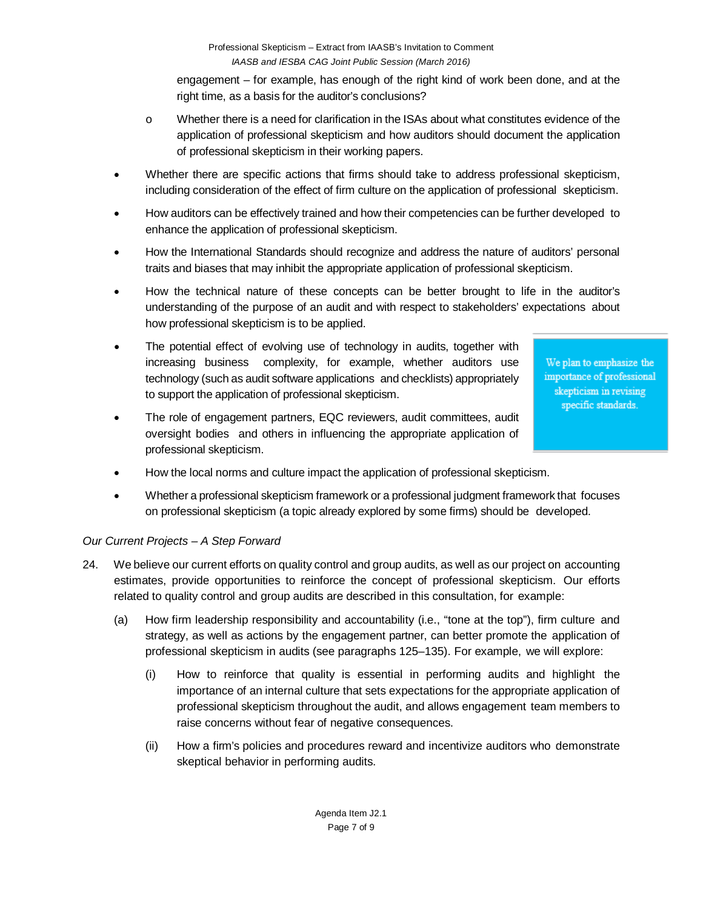engagement – for example, has enough of the right kind of work been done, and at the right time, as a basis for the auditor's conclusions?

- o Whether there is a need for clarification in the ISAs about what constitutes evidence of the application of professional skepticism and how auditors should document the application of professional skepticism in their working papers.
- Whether there are specific actions that firms should take to address professional skepticism, including consideration of the effect of firm culture on the application of professional skepticism.
- How auditors can be effectively trained and how their competencies can be further developed to enhance the application of professional skepticism.
- How the International Standards should recognize and address the nature of auditors' personal traits and biases that may inhibit the appropriate application of professional skepticism.
- How the technical nature of these concepts can be better brought to life in the auditor's understanding of the purpose of an audit and with respect to stakeholders' expectations about how professional skepticism is to be applied.
- The potential effect of evolving use of technology in audits, together with increasing business complexity, for example, whether auditors use technology (such as audit software applications and checklists) appropriately to support the application of professional skepticism.

We plan to emphasize the importance of professional skepticism in revising specific standards.

- The role of engagement partners, EQC reviewers, audit committees, audit oversight bodies and others in influencing the appropriate application of professional skepticism.
- How the local norms and culture impact the application of professional skepticism.
- Whether a professional skepticism framework or a professional judgment framework that focuses on professional skepticism (a topic already explored by some firms) should be developed.

## *Our Current Projects – A Step Forward*

- 24. We believe our current efforts on quality control and group audits, as well as our project on accounting estimates, provide opportunities to reinforce the concept of professional skepticism. Our efforts related to quality control and group audits are described in this consultation, for example:
	- (a) How firm leadership responsibility and accountability (i.e., "tone at the top"), firm culture and strategy, as well as actions by the engagement partner, can better promote the application of professional skepticism in audits (see paragraphs 125–135). For example, we will explore:
		- (i) How to reinforce that quality is essential in performing audits and highlight the importance of an internal culture that sets expectations for the appropriate application of professional skepticism throughout the audit, and allows engagement team members to raise concerns without fear of negative consequences.
		- (ii) How a firm's policies and procedures reward and incentivize auditors who demonstrate skeptical behavior in performing audits.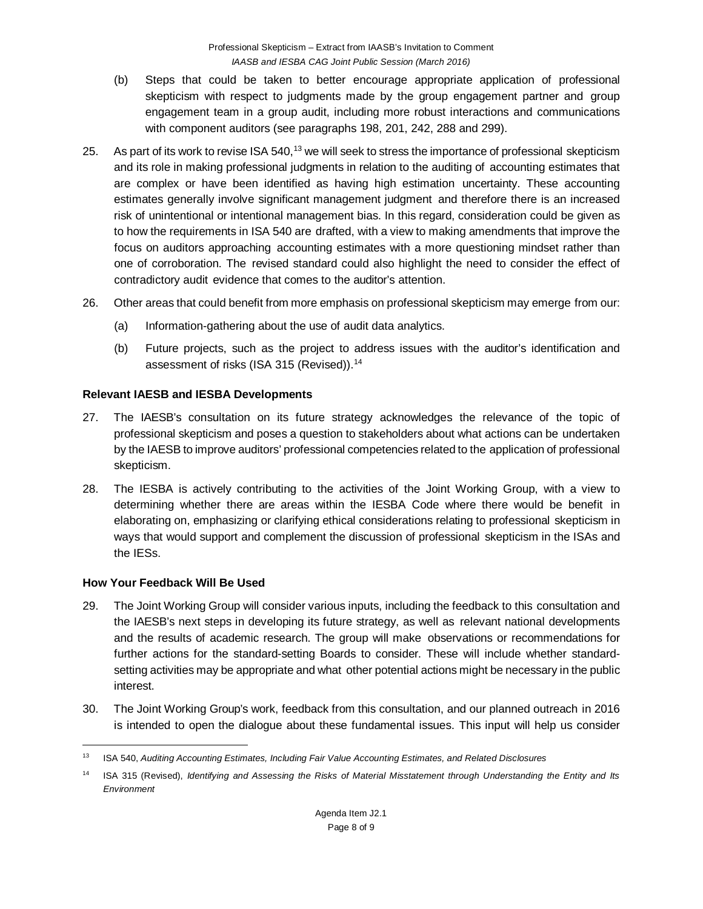- (b) Steps that could be taken to better encourage appropriate application of professional skepticism with respect to judgments made by the group engagement partner and group engagement team in a group audit, including more robust interactions and communications with component auditors (see paragraphs 198, 201, 242, 288 and 299).
- 25. As part of its work to revise ISA 540,<sup>[13](#page-7-0)</sup> we will seek to stress the importance of professional skepticism and its role in making professional judgments in relation to the auditing of accounting estimates that are complex or have been identified as having high estimation uncertainty. These accounting estimates generally involve significant management judgment and therefore there is an increased risk of unintentional or intentional management bias. In this regard, consideration could be given as to how the requirements in ISA 540 are drafted, with a view to making amendments that improve the focus on auditors approaching accounting estimates with a more questioning mindset rather than one of corroboration. The revised standard could also highlight the need to consider the effect of contradictory audit evidence that comes to the auditor's attention.
- 26. Other areas that could benefit from more emphasis on professional skepticism may emerge from our:
	- (a) Information-gathering about the use of audit data analytics.
	- (b) Future projects, such as the project to address issues with the auditor's identification and assessment of risks (ISA 315 (Revised)).<sup>14</sup>

### **Relevant IAESB and IESBA Developments**

- 27. The IAESB's consultation on its future strategy acknowledges the relevance of the topic of professional skepticism and poses a question to stakeholders about what actions can be undertaken by the IAESB to improve auditors' professional competencies related to the application of professional skepticism.
- 28. The IESBA is actively contributing to the activities of the Joint Working Group, with a view to determining whether there are areas within the IESBA Code where there would be benefit in elaborating on, emphasizing or clarifying ethical considerations relating to professional skepticism in ways that would support and complement the discussion of professional skepticism in the ISAs and the IESs.

### **How Your Feedback Will Be Used**

- 29. The Joint Working Group will consider various inputs, including the feedback to this consultation and the IAESB's next steps in developing its future strategy, as well as relevant national developments and the results of academic research. The group will make observations or recommendations for further actions for the standard-setting Boards to consider. These will include whether standardsetting activities may be appropriate and what other potential actions might be necessary in the public interest.
- 30. The Joint Working Group's work, feedback from this consultation, and our planned outreach in 2016 is intended to open the dialogue about these fundamental issues. This input will help us consider

<span id="page-7-0"></span> <sup>13</sup> ISA 540, *Auditing Accounting Estimates, Including Fair Value Accounting Estimates, and Related Disclosures*

<span id="page-7-1"></span><sup>14</sup> ISA 315 (Revised), *Identifying and Assessing the Risks of Material Misstatement through Understanding the Entity and Its Environment*